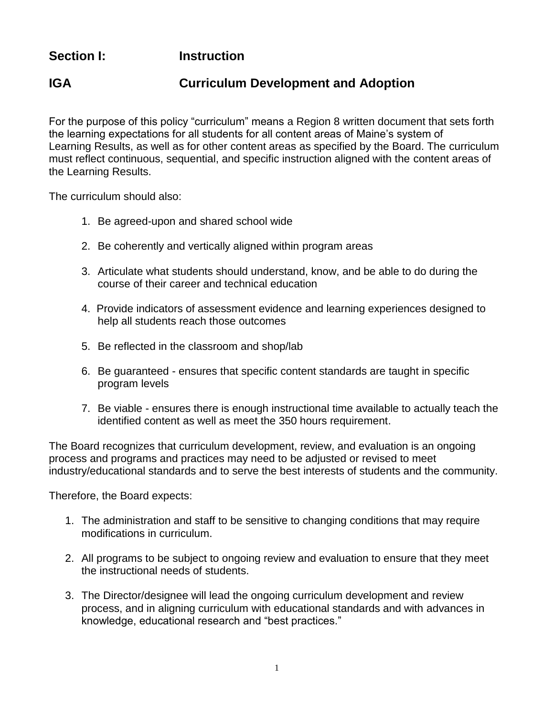## **Section I: Instruction**

## **IGA Curriculum Development and Adoption**

For the purpose of this policy "curriculum" means a Region 8 written document that sets forth the learning expectations for all students for all content areas of Maine's system of Learning Results, as well as for other content areas as specified by the Board. The curriculum must reflect continuous, sequential, and specific instruction aligned with the content areas of the Learning Results.

The curriculum should also:

- 1. Be agreed-upon and shared school wide
- 2. Be coherently and vertically aligned within program areas
- 3. Articulate what students should understand, know, and be able to do during the course of their career and technical education
- 4. Provide indicators of assessment evidence and learning experiences designed to help all students reach those outcomes
- 5. Be reflected in the classroom and shop/lab
- 6. Be guaranteed ensures that specific content standards are taught in specific program levels
- 7. Be viable ensures there is enough instructional time available to actually teach the identified content as well as meet the 350 hours requirement.

The Board recognizes that curriculum development, review, and evaluation is an ongoing process and programs and practices may need to be adjusted or revised to meet industry/educational standards and to serve the best interests of students and the community.

Therefore, the Board expects:

- 1. The administration and staff to be sensitive to changing conditions that may require modifications in curriculum.
- 2. All programs to be subject to ongoing review and evaluation to ensure that they meet the instructional needs of students.
- 3. The Director/designee will lead the ongoing curriculum development and review process, and in aligning curriculum with educational standards and with advances in knowledge, educational research and "best practices."